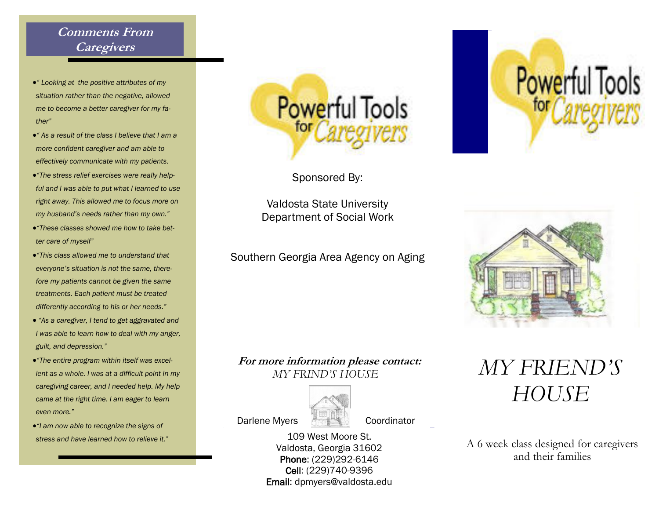### **Comments From Caregivers**

- *" Looking at the positive attributes of my situation rather than the negative, allowed me to become a better caregiver for my father"*
- *" As a result of the class I believe that I am a more confident caregiver and am able to effectively communicate with my patients.*
- *"The stress relief exercises were really helpful and I was able to put what I learned to use right away. This allowed me to focus more on my husband's needs rather than my own."*
- *"These classes showed me how to take better care of myself"*
- *"This class allowed me to understand that everyone's situation is not the same, therefore my patients cannot be given the same treatments. Each patient must be treated differently according to his or her needs."*
- *"As a caregiver, I tend to get aggravated and I was able to learn how to deal with my anger, guilt, and depression."*
- *"The entire program within itself was excellent as a whole. I was at a difficult point in my caregiving career, and I needed help. My help came at the right time. I am eager to learn even more."*
- *"I am now able to recognize the signs of*



Sponsored By:

Valdosta State University Department of Social Work

Southern Georgia Area Agency on Aging

#### **For more information please contact:**   *MY FRIND'S HOUSE*



109 West Moore St. Valdosta, Georgia 31602 Phone: (229)292-6146 Cell: (229)740-9396 Email: dpmyers@valdosta.edu





## *MY FRIEND'S HOUSE*

*stress and have learned how to relieve it."* 109 West Moore St.<br>Valdosta Georgia 31602 A 6 week class designed for caregivers and their families